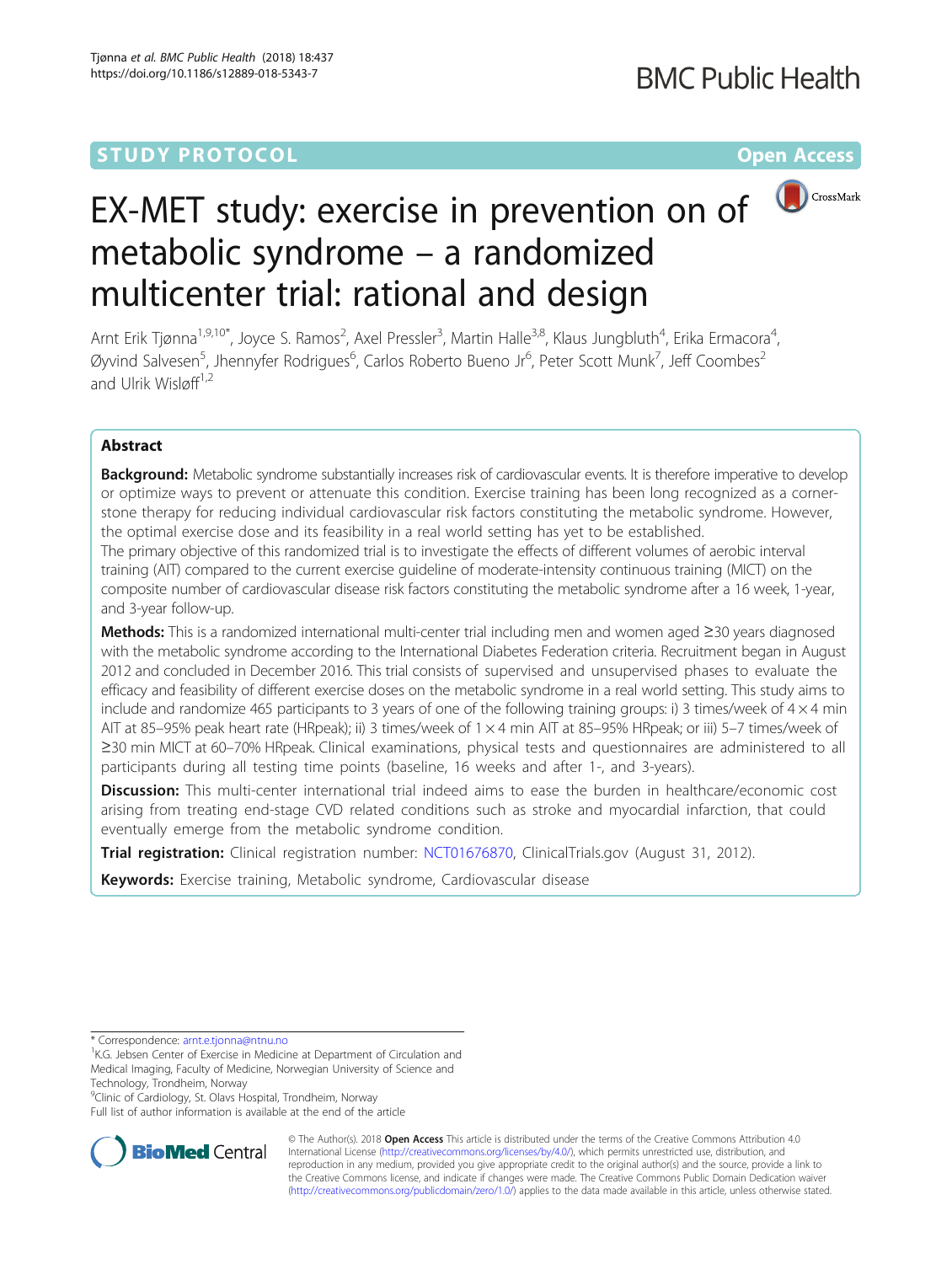# **STUDY PROTOCOL CONSUMING THE RESERVE ACCESS**



# EX-MET study: exercise in prevention on of metabolic syndrome – a randomized multicenter trial: rational and design

Arnt Erik Tjønna<sup>1,9,10\*</sup>, Joyce S. Ramos<sup>2</sup>, Axel Pressler<sup>3</sup>, Martin Halle<sup>3,8</sup>, Klaus Jungbluth<sup>4</sup>, Erika Ermacora<sup>4</sup> , Øyvind Salvesen<sup>5</sup>, Jhennyfer Rodrigues<sup>6</sup>, Carlos Roberto Bueno Jr<sup>6</sup>, Peter Scott Munk<sup>7</sup>, Jeff Coombes<sup>2</sup> and Ulrik Wisløff $1,2$ 

# Abstract

**Background:** Metabolic syndrome substantially increases risk of cardiovascular events. It is therefore imperative to develop or optimize ways to prevent or attenuate this condition. Exercise training has been long recognized as a cornerstone therapy for reducing individual cardiovascular risk factors constituting the metabolic syndrome. However, the optimal exercise dose and its feasibility in a real world setting has yet to be established.

The primary objective of this randomized trial is to investigate the effects of different volumes of aerobic interval training (AIT) compared to the current exercise guideline of moderate-intensity continuous training (MICT) on the composite number of cardiovascular disease risk factors constituting the metabolic syndrome after a 16 week, 1-year, and 3-year follow-up.

Methods: This is a randomized international multi-center trial including men and women aged ≥30 years diagnosed with the metabolic syndrome according to the International Diabetes Federation criteria. Recruitment began in August 2012 and concluded in December 2016. This trial consists of supervised and unsupervised phases to evaluate the efficacy and feasibility of different exercise doses on the metabolic syndrome in a real world setting. This study aims to include and randomize 465 participants to 3 years of one of the following training groups: i) 3 times/week of  $4 \times 4$  min AIT at 85–95% peak heart rate (HRpeak); ii) 3 times/week of 1 × 4 min AIT at 85–95% HRpeak; or iii) 5–7 times/week of ≥30 min MICT at 60–70% HRpeak. Clinical examinations, physical tests and questionnaires are administered to all participants during all testing time points (baseline, 16 weeks and after 1-, and 3-years).

Discussion: This multi-center international trial indeed aims to ease the burden in healthcare/economic cost arising from treating end-stage CVD related conditions such as stroke and myocardial infarction, that could eventually emerge from the metabolic syndrome condition.

Trial registration: Clinical registration number: [NCT01676870](https://clinicaltrials.gov/ct2/show/NCT01676870), ClinicalTrials.gov (August 31, 2012).

Keywords: Exercise training, Metabolic syndrome, Cardiovascular disease

<sup>9</sup>Clinic of Cardiology, St. Olavs Hospital, Trondheim, Norway

Full list of author information is available at the end of the article



© The Author(s). 2018 Open Access This article is distributed under the terms of the Creative Commons Attribution 4.0 International License [\(http://creativecommons.org/licenses/by/4.0/](http://creativecommons.org/licenses/by/4.0/)), which permits unrestricted use, distribution, and reproduction in any medium, provided you give appropriate credit to the original author(s) and the source, provide a link to the Creative Commons license, and indicate if changes were made. The Creative Commons Public Domain Dedication waiver [\(http://creativecommons.org/publicdomain/zero/1.0/](http://creativecommons.org/publicdomain/zero/1.0/)) applies to the data made available in this article, unless otherwise stated.

<sup>\*</sup> Correspondence: [arnt.e.tjonna@ntnu.no](mailto:arnt.e.tjonna@ntnu.no) <sup>1</sup>

<sup>&</sup>lt;sup>1</sup>K.G. Jebsen Center of Exercise in Medicine at Department of Circulation and Medical Imaging, Faculty of Medicine, Norwegian University of Science and Technology, Trondheim, Norway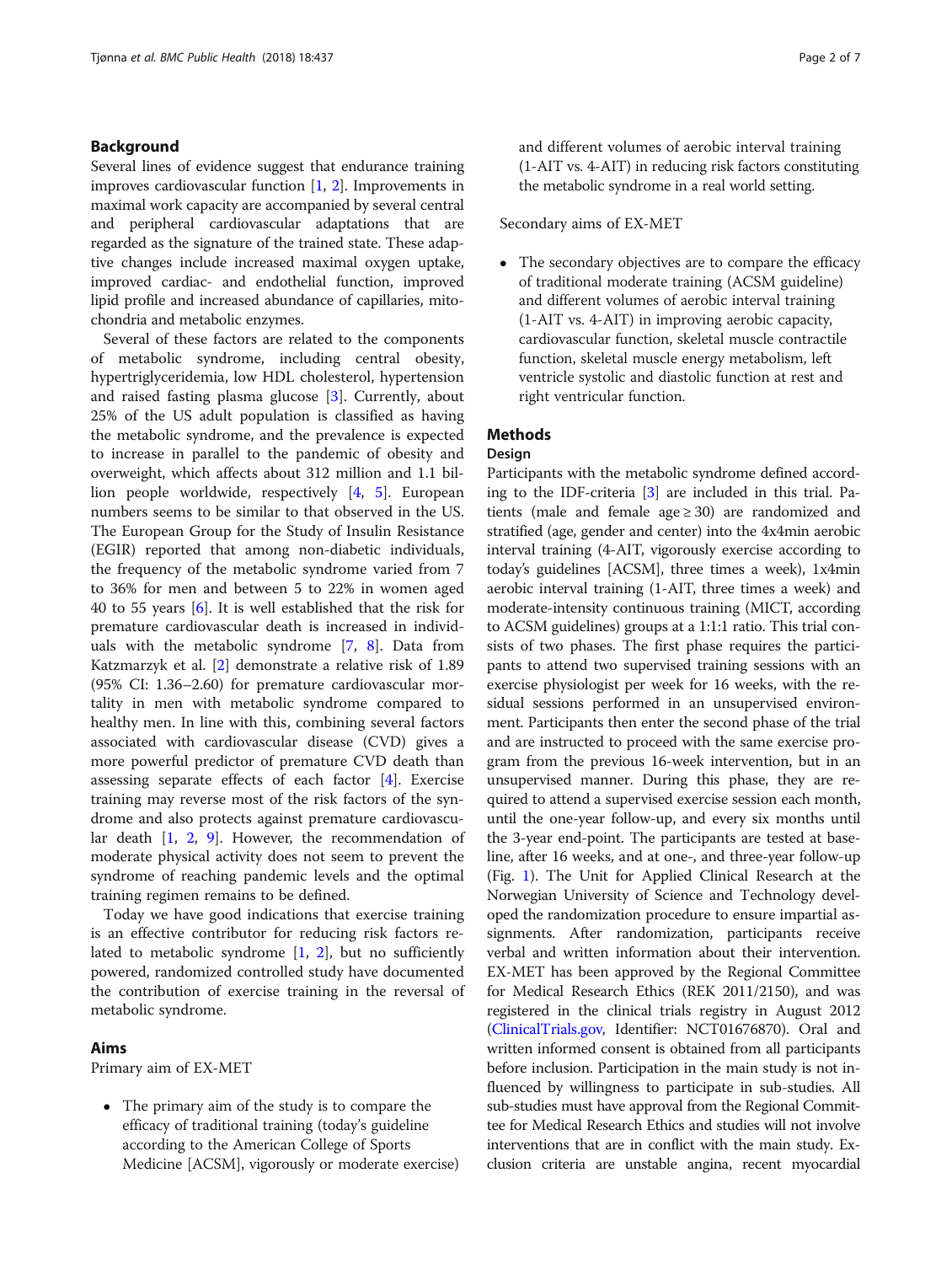### Background

Several lines of evidence suggest that endurance training improves cardiovascular function  $[1, 2]$  $[1, 2]$  $[1, 2]$  $[1, 2]$ . Improvements in maximal work capacity are accompanied by several central and peripheral cardiovascular adaptations that are regarded as the signature of the trained state. These adaptive changes include increased maximal oxygen uptake, improved cardiac- and endothelial function, improved lipid profile and increased abundance of capillaries, mitochondria and metabolic enzymes.

Several of these factors are related to the components of metabolic syndrome, including central obesity, hypertriglyceridemia, low HDL cholesterol, hypertension and raised fasting plasma glucose [[3\]](#page-6-0). Currently, about 25% of the US adult population is classified as having the metabolic syndrome, and the prevalence is expected to increase in parallel to the pandemic of obesity and overweight, which affects about 312 million and 1.1 billion people worldwide, respectively [[4,](#page-6-0) [5\]](#page-6-0). European numbers seems to be similar to that observed in the US. The European Group for the Study of Insulin Resistance (EGIR) reported that among non-diabetic individuals, the frequency of the metabolic syndrome varied from 7 to 36% for men and between 5 to 22% in women aged 40 to 55 years [[6\]](#page-6-0). It is well established that the risk for premature cardiovascular death is increased in individuals with the metabolic syndrome [\[7](#page-6-0), [8](#page-6-0)]. Data from Katzmarzyk et al. [[2\]](#page-6-0) demonstrate a relative risk of 1.89 (95% CI: 1.36–2.60) for premature cardiovascular mortality in men with metabolic syndrome compared to healthy men. In line with this, combining several factors associated with cardiovascular disease (CVD) gives a more powerful predictor of premature CVD death than assessing separate effects of each factor [[4\]](#page-6-0). Exercise training may reverse most of the risk factors of the syndrome and also protects against premature cardiovascular death [\[1](#page-6-0), [2,](#page-6-0) [9](#page-6-0)]. However, the recommendation of moderate physical activity does not seem to prevent the syndrome of reaching pandemic levels and the optimal training regimen remains to be defined.

Today we have good indications that exercise training is an effective contributor for reducing risk factors related to metabolic syndrome  $[1, 2]$  $[1, 2]$  $[1, 2]$ , but no sufficiently powered, randomized controlled study have documented the contribution of exercise training in the reversal of metabolic syndrome.

### Aims

Primary aim of EX-MET

 The primary aim of the study is to compare the efficacy of traditional training (today's guideline according to the American College of Sports Medicine [ACSM], vigorously or moderate exercise) and different volumes of aerobic interval training (1-AIT vs. 4-AIT) in reducing risk factors constituting the metabolic syndrome in a real world setting.

Secondary aims of EX-MET

• The secondary objectives are to compare the efficacy of traditional moderate training (ACSM guideline) and different volumes of aerobic interval training (1-AIT vs. 4-AIT) in improving aerobic capacity, cardiovascular function, skeletal muscle contractile function, skeletal muscle energy metabolism, left ventricle systolic and diastolic function at rest and right ventricular function.

### **Methods**

#### Design

Participants with the metabolic syndrome defined according to the IDF-criteria [[3\]](#page-6-0) are included in this trial. Patients (male and female age  $\geq$  30) are randomized and stratified (age, gender and center) into the 4x4min aerobic interval training (4-AIT, vigorously exercise according to today's guidelines [ACSM], three times a week), 1x4min aerobic interval training (1-AIT, three times a week) and moderate-intensity continuous training (MICT, according to ACSM guidelines) groups at a 1:1:1 ratio. This trial consists of two phases. The first phase requires the participants to attend two supervised training sessions with an exercise physiologist per week for 16 weeks, with the residual sessions performed in an unsupervised environment. Participants then enter the second phase of the trial and are instructed to proceed with the same exercise program from the previous 16-week intervention, but in an unsupervised manner. During this phase, they are required to attend a supervised exercise session each month, until the one-year follow-up, and every six months until the 3-year end-point. The participants are tested at baseline, after 16 weeks, and at one-, and three-year follow-up (Fig. [1\)](#page-2-0). The Unit for Applied Clinical Research at the Norwegian University of Science and Technology developed the randomization procedure to ensure impartial assignments. After randomization, participants receive verbal and written information about their intervention. EX-MET has been approved by the Regional Committee for Medical Research Ethics (REK 2011/2150), and was registered in the clinical trials registry in August 2012 ([ClinicalTrials.gov,](http://clinicaltrials.gov) Identifier: NCT01676870). Oral and written informed consent is obtained from all participants before inclusion. Participation in the main study is not influenced by willingness to participate in sub-studies. All sub-studies must have approval from the Regional Committee for Medical Research Ethics and studies will not involve interventions that are in conflict with the main study. Exclusion criteria are unstable angina, recent myocardial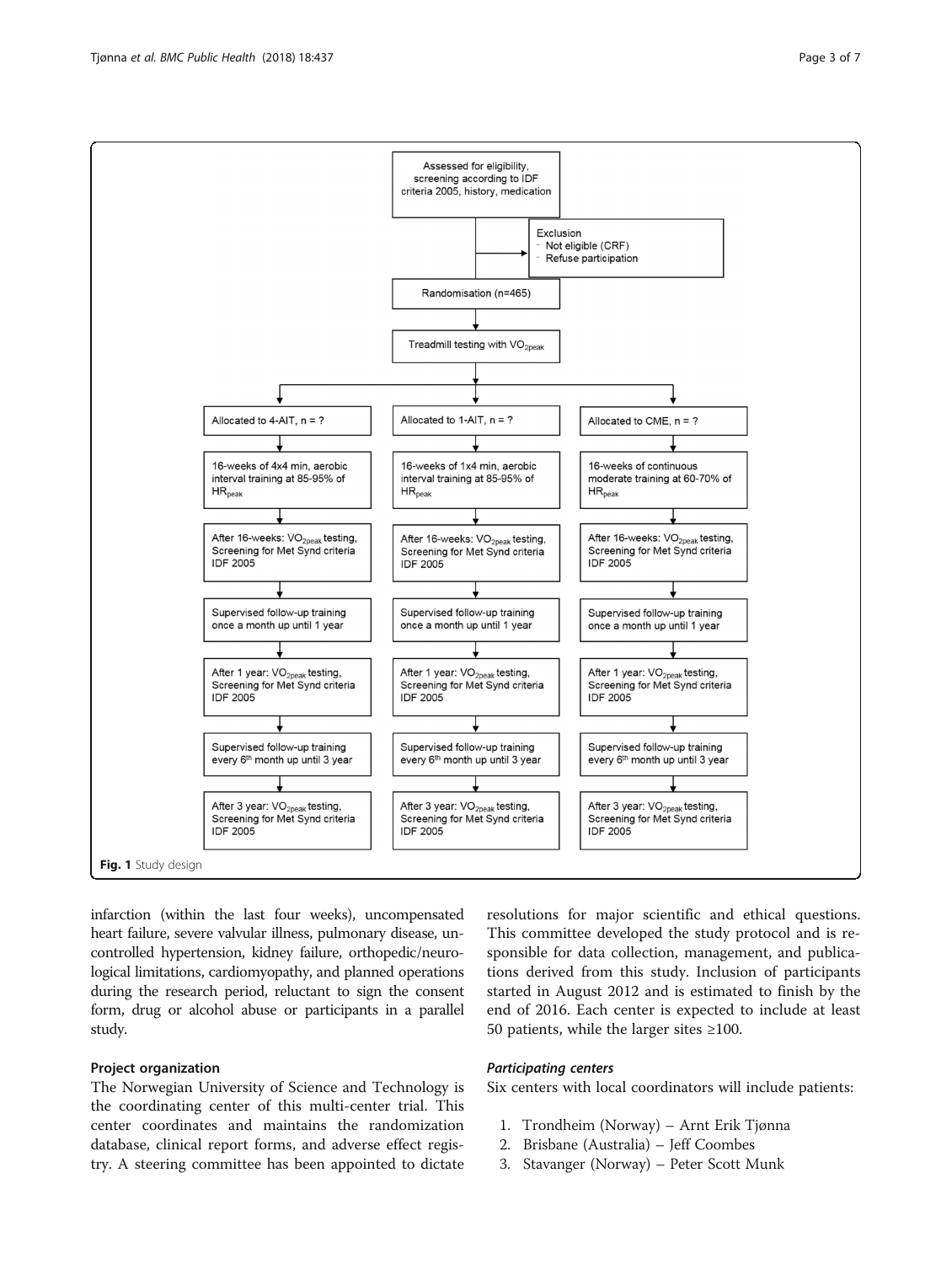<span id="page-2-0"></span>Tjønna et al. BMC Public Health (2018) 18:437 Page 3 of 7



infarction (within the last four weeks), uncompensated heart failure, severe valvular illness, pulmonary disease, uncontrolled hypertension, kidney failure, orthopedic/neurological limitations, cardiomyopathy, and planned operations during the research period, reluctant to sign the consent form, drug or alcohol abuse or participants in a parallel study.

### Project organization

The Norwegian University of Science and Technology is the coordinating center of this multi-center trial. This center coordinates and maintains the randomization database, clinical report forms, and adverse effect registry. A steering committee has been appointed to dictate resolutions for major scientific and ethical questions. This committee developed the study protocol and is responsible for data collection, management, and publications derived from this study. Inclusion of participants started in August 2012 and is estimated to finish by the end of 2016. Each center is expected to include at least 50 patients, while the larger sites ≥100.

#### Participating centers

Six centers with local coordinators will include patients:

- 1. Trondheim (Norway) Arnt Erik Tjønna
- 2. Brisbane (Australia) Jeff Coombes
- 3. Stavanger (Norway) Peter Scott Munk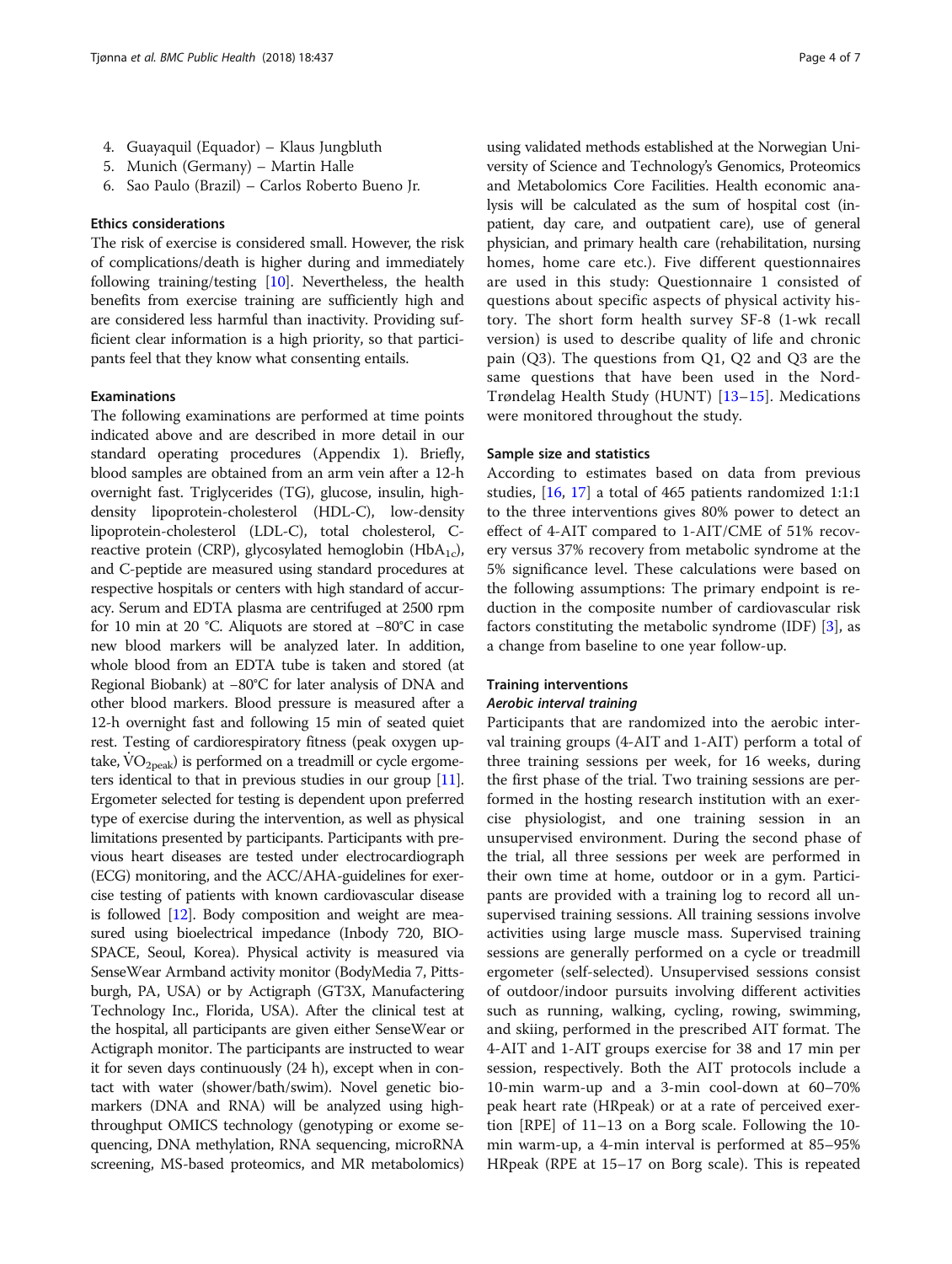- 4. Guayaquil (Equador) Klaus Jungbluth
- 5. Munich (Germany) Martin Halle
- 6. Sao Paulo (Brazil) Carlos Roberto Bueno Jr.

#### Ethics considerations

The risk of exercise is considered small. However, the risk of complications/death is higher during and immediately following training/testing [[10\]](#page-6-0). Nevertheless, the health benefits from exercise training are sufficiently high and are considered less harmful than inactivity. Providing sufficient clear information is a high priority, so that participants feel that they know what consenting entails.

#### Examinations

The following examinations are performed at time points indicated above and are described in more detail in our standard operating procedures (Appendix 1). Briefly, blood samples are obtained from an arm vein after a 12-h overnight fast. Triglycerides (TG), glucose, insulin, highdensity lipoprotein-cholesterol (HDL-C), low-density lipoprotein-cholesterol (LDL-C), total cholesterol, Creactive protein (CRP), glycosylated hemoglobin (HbA<sub>1c</sub>), and C-peptide are measured using standard procedures at respective hospitals or centers with high standard of accuracy. Serum and EDTA plasma are centrifuged at 2500 rpm for 10 min at 20 °C. Aliquots are stored at −80°C in case new blood markers will be analyzed later. In addition, whole blood from an EDTA tube is taken and stored (at Regional Biobank) at −80°C for later analysis of DNA and other blood markers. Blood pressure is measured after a 12-h overnight fast and following 15 min of seated quiet rest. Testing of cardiorespiratory fitness (peak oxygen uptake,  $\rm\dot{VO}_{2neak}$ ) is performed on a treadmill or cycle ergometers identical to that in previous studies in our group [\[11](#page-6-0)]. Ergometer selected for testing is dependent upon preferred type of exercise during the intervention, as well as physical limitations presented by participants. Participants with previous heart diseases are tested under electrocardiograph (ECG) monitoring, and the ACC/AHA-guidelines for exercise testing of patients with known cardiovascular disease is followed [\[12\]](#page-6-0). Body composition and weight are measured using bioelectrical impedance (Inbody 720, BIO-SPACE, Seoul, Korea). Physical activity is measured via SenseWear Armband activity monitor (BodyMedia 7, Pittsburgh, PA, USA) or by Actigraph (GT3X, Manufactering Technology Inc., Florida, USA). After the clinical test at the hospital, all participants are given either SenseWear or Actigraph monitor. The participants are instructed to wear it for seven days continuously (24 h), except when in contact with water (shower/bath/swim). Novel genetic biomarkers (DNA and RNA) will be analyzed using highthroughput OMICS technology (genotyping or exome sequencing, DNA methylation, RNA sequencing, microRNA screening, MS-based proteomics, and MR metabolomics)

using validated methods established at the Norwegian University of Science and Technology's Genomics, Proteomics and Metabolomics Core Facilities. Health economic analysis will be calculated as the sum of hospital cost (inpatient, day care, and outpatient care), use of general physician, and primary health care (rehabilitation, nursing homes, home care etc.). Five different questionnaires are used in this study: Questionnaire 1 consisted of questions about specific aspects of physical activity history. The short form health survey SF-8 (1-wk recall version) is used to describe quality of life and chronic pain (Q3). The questions from Q1, Q2 and Q3 are the same questions that have been used in the Nord-Trøndelag Health Study (HUNT) [[13](#page-6-0)–[15\]](#page-6-0). Medications were monitored throughout the study.

#### Sample size and statistics

According to estimates based on data from previous studies, [[16,](#page-6-0) [17\]](#page-6-0) a total of 465 patients randomized 1:1:1 to the three interventions gives 80% power to detect an effect of 4-AIT compared to 1-AIT/CME of 51% recovery versus 37% recovery from metabolic syndrome at the 5% significance level. These calculations were based on the following assumptions: The primary endpoint is reduction in the composite number of cardiovascular risk factors constituting the metabolic syndrome (IDF) [\[3\]](#page-6-0), as a change from baseline to one year follow-up.

#### Training interventions

### Aerobic interval training

Participants that are randomized into the aerobic interval training groups (4-AIT and 1-AIT) perform a total of three training sessions per week, for 16 weeks, during the first phase of the trial. Two training sessions are performed in the hosting research institution with an exercise physiologist, and one training session in an unsupervised environment. During the second phase of the trial, all three sessions per week are performed in their own time at home, outdoor or in a gym. Participants are provided with a training log to record all unsupervised training sessions. All training sessions involve activities using large muscle mass. Supervised training sessions are generally performed on a cycle or treadmill ergometer (self-selected). Unsupervised sessions consist of outdoor/indoor pursuits involving different activities such as running, walking, cycling, rowing, swimming, and skiing, performed in the prescribed AIT format. The 4-AIT and 1-AIT groups exercise for 38 and 17 min per session, respectively. Both the AIT protocols include a 10-min warm-up and a 3-min cool-down at 60–70% peak heart rate (HRpeak) or at a rate of perceived exertion [RPE] of 11–13 on a Borg scale. Following the 10 min warm-up, a 4-min interval is performed at 85–95% HRpeak (RPE at 15–17 on Borg scale). This is repeated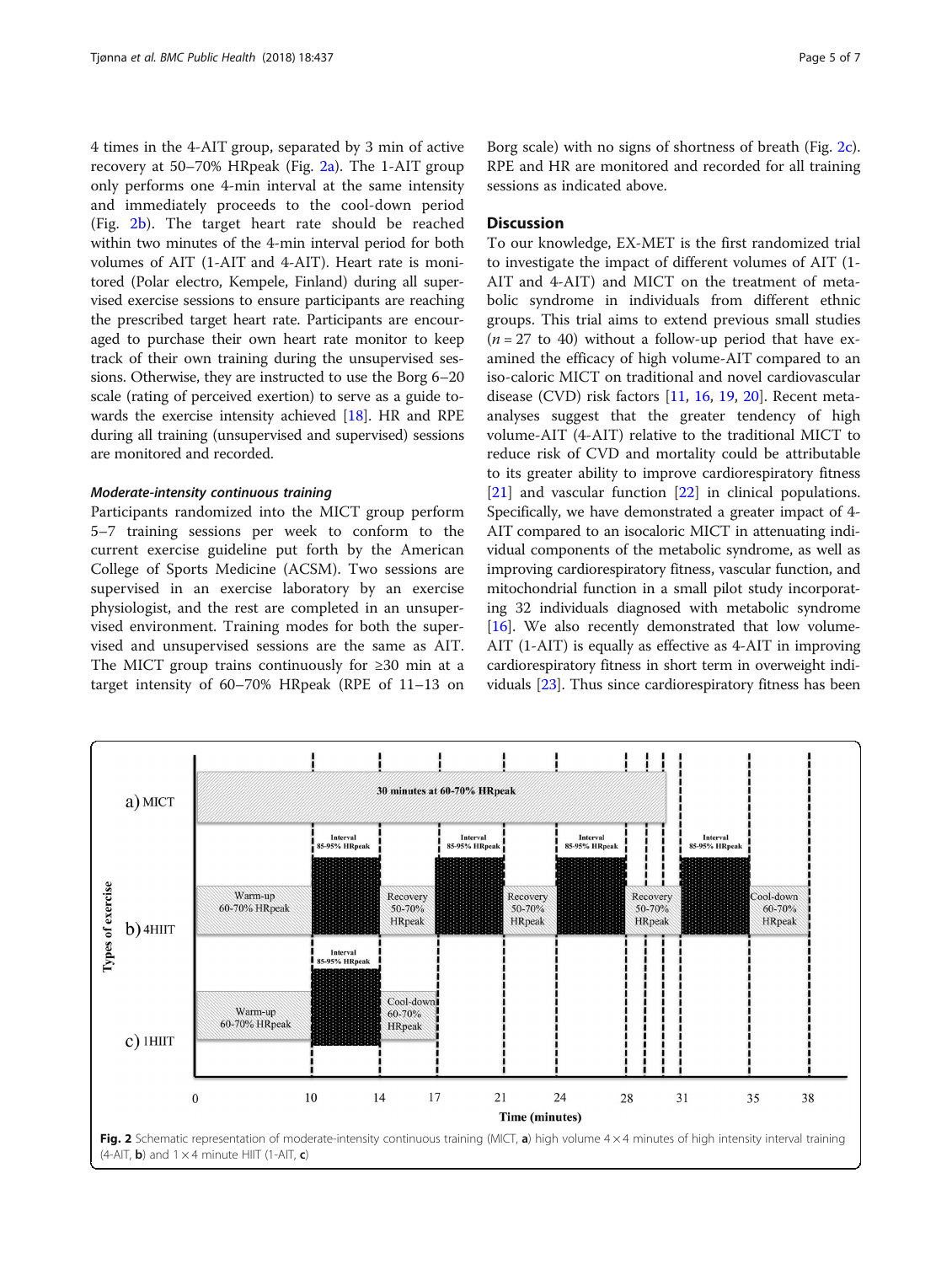4 times in the 4-AIT group, separated by 3 min of active recovery at 50–70% HRpeak (Fig. 2a). The 1-AIT group only performs one 4-min interval at the same intensity and immediately proceeds to the cool-down period (Fig. 2b). The target heart rate should be reached within two minutes of the 4-min interval period for both volumes of AIT (1-AIT and 4-AIT). Heart rate is monitored (Polar electro, Kempele, Finland) during all supervised exercise sessions to ensure participants are reaching the prescribed target heart rate. Participants are encouraged to purchase their own heart rate monitor to keep track of their own training during the unsupervised sessions. Otherwise, they are instructed to use the Borg 6–20 scale (rating of perceived exertion) to serve as a guide towards the exercise intensity achieved [[18](#page-6-0)]. HR and RPE during all training (unsupervised and supervised) sessions are monitored and recorded.

#### Moderate-intensity continuous training

Participants randomized into the MICT group perform 5–7 training sessions per week to conform to the current exercise guideline put forth by the American College of Sports Medicine (ACSM). Two sessions are supervised in an exercise laboratory by an exercise physiologist, and the rest are completed in an unsupervised environment. Training modes for both the supervised and unsupervised sessions are the same as AIT. The MICT group trains continuously for ≥30 min at a target intensity of 60–70% HRpeak (RPE of 11–13 on

Borg scale) with no signs of shortness of breath (Fig. 2c). RPE and HR are monitored and recorded for all training sessions as indicated above.

#### **Discussion**

To our knowledge, EX-MET is the first randomized trial to investigate the impact of different volumes of AIT (1- AIT and 4-AIT) and MICT on the treatment of metabolic syndrome in individuals from different ethnic groups. This trial aims to extend previous small studies  $(n = 27$  to 40) without a follow-up period that have examined the efficacy of high volume-AIT compared to an iso-caloric MICT on traditional and novel cardiovascular disease (CVD) risk factors [\[11](#page-6-0), [16](#page-6-0), [19,](#page-6-0) [20\]](#page-6-0). Recent metaanalyses suggest that the greater tendency of high volume-AIT (4-AIT) relative to the traditional MICT to reduce risk of CVD and mortality could be attributable to its greater ability to improve cardiorespiratory fitness [[21\]](#page-6-0) and vascular function [[22\]](#page-6-0) in clinical populations. Specifically, we have demonstrated a greater impact of 4- AIT compared to an isocaloric MICT in attenuating individual components of the metabolic syndrome, as well as improving cardiorespiratory fitness, vascular function, and mitochondrial function in a small pilot study incorporating 32 individuals diagnosed with metabolic syndrome [[16](#page-6-0)]. We also recently demonstrated that low volume-AIT (1-AIT) is equally as effective as 4-AIT in improving cardiorespiratory fitness in short term in overweight individuals [[23](#page-6-0)]. Thus since cardiorespiratory fitness has been

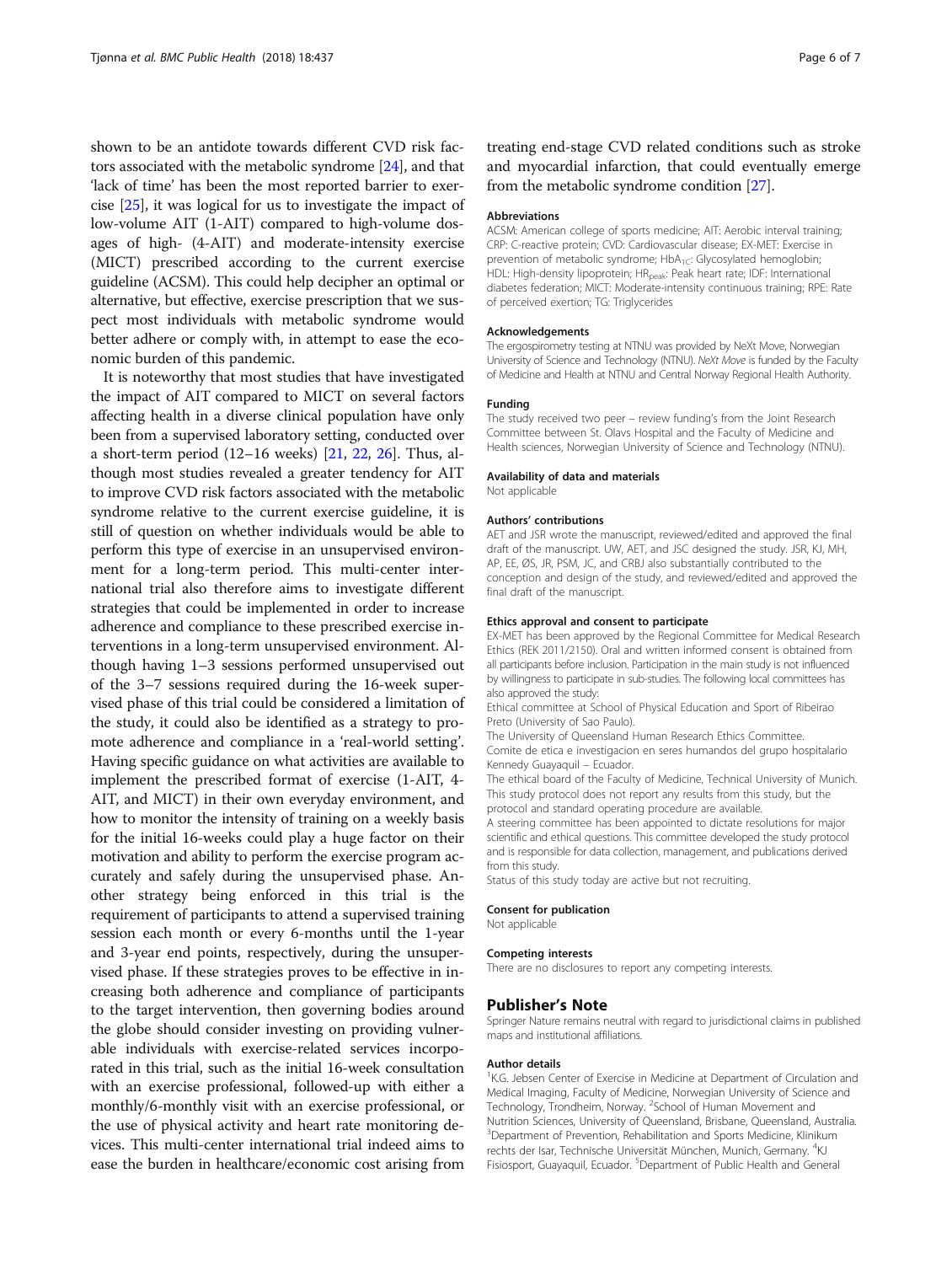shown to be an antidote towards different CVD risk factors associated with the metabolic syndrome [\[24\]](#page-6-0), and that 'lack of time' has been the most reported barrier to exercise [[25\]](#page-6-0), it was logical for us to investigate the impact of low-volume AIT (1-AIT) compared to high-volume dosages of high- (4-AIT) and moderate-intensity exercise (MICT) prescribed according to the current exercise guideline (ACSM). This could help decipher an optimal or alternative, but effective, exercise prescription that we suspect most individuals with metabolic syndrome would better adhere or comply with, in attempt to ease the economic burden of this pandemic.

It is noteworthy that most studies that have investigated the impact of AIT compared to MICT on several factors affecting health in a diverse clinical population have only been from a supervised laboratory setting, conducted over a short-term period (12–16 weeks) [\[21](#page-6-0), [22](#page-6-0), [26](#page-6-0)]. Thus, although most studies revealed a greater tendency for AIT to improve CVD risk factors associated with the metabolic syndrome relative to the current exercise guideline, it is still of question on whether individuals would be able to perform this type of exercise in an unsupervised environment for a long-term period. This multi-center international trial also therefore aims to investigate different strategies that could be implemented in order to increase adherence and compliance to these prescribed exercise interventions in a long-term unsupervised environment. Although having 1–3 sessions performed unsupervised out of the 3–7 sessions required during the 16-week supervised phase of this trial could be considered a limitation of the study, it could also be identified as a strategy to promote adherence and compliance in a 'real-world setting'. Having specific guidance on what activities are available to implement the prescribed format of exercise (1-AIT, 4- AIT, and MICT) in their own everyday environment, and how to monitor the intensity of training on a weekly basis for the initial 16-weeks could play a huge factor on their motivation and ability to perform the exercise program accurately and safely during the unsupervised phase. Another strategy being enforced in this trial is the requirement of participants to attend a supervised training session each month or every 6-months until the 1-year and 3-year end points, respectively, during the unsupervised phase. If these strategies proves to be effective in increasing both adherence and compliance of participants to the target intervention, then governing bodies around the globe should consider investing on providing vulnerable individuals with exercise-related services incorporated in this trial, such as the initial 16-week consultation with an exercise professional, followed-up with either a monthly/6-monthly visit with an exercise professional, or the use of physical activity and heart rate monitoring devices. This multi-center international trial indeed aims to ease the burden in healthcare/economic cost arising from

treating end-stage CVD related conditions such as stroke and myocardial infarction, that could eventually emerge from the metabolic syndrome condition [[27\]](#page-6-0).

#### Abbreviations

ACSM: American college of sports medicine; AIT: Aerobic interval training; CRP: C-reactive protein; CVD: Cardiovascular disease; EX-MET: Exercise in prevention of metabolic syndrome;  $HbA_{1C}$ : Glycosylated hemoglobin; HDL: High-density lipoprotein; HR<sub>peak</sub>: Peak heart rate; IDF: International diabetes federation; MICT: Moderate-intensity continuous training; RPE: Rate of perceived exertion; TG: Triglycerides

#### Acknowledgements

The ergospirometry testing at NTNU was provided by NeXt Move, Norwegian University of Science and Technology (NTNU). NeXt Move is funded by the Faculty of Medicine and Health at NTNU and Central Norway Regional Health Authority.

#### Funding

The study received two peer – review funding's from the Joint Research Committee between St. Olavs Hospital and the Faculty of Medicine and Health sciences, Norwegian University of Science and Technology (NTNU).

#### Availability of data and materials

Not applicable

#### Authors' contributions

AET and JSR wrote the manuscript, reviewed/edited and approved the final draft of the manuscript. UW, AET, and JSC designed the study. JSR, KJ, MH, AP, EE, ØS, JR, PSM, JC, and CRBJ also substantially contributed to the conception and design of the study, and reviewed/edited and approved the final draft of the manuscript.

#### Ethics approval and consent to participate

EX-MET has been approved by the Regional Committee for Medical Research Ethics (REK 2011/2150). Oral and written informed consent is obtained from all participants before inclusion. Participation in the main study is not influenced by willingness to participate in sub-studies. The following local committees has also approved the study:

Ethical committee at School of Physical Education and Sport of Ribeirao Preto (University of Sao Paulo).

The University of Queensland Human Research Ethics Committee. Comite de etica e investigacion en seres humandos del grupo hospitalario Kennedy Guayaquil – Ecuador.

The ethical board of the Faculty of Medicine, Technical University of Munich. This study protocol does not report any results from this study, but the protocol and standard operating procedure are available.

A steering committee has been appointed to dictate resolutions for major scientific and ethical questions. This committee developed the study protocol and is responsible for data collection, management, and publications derived from this study.

Status of this study today are active but not recruiting.

#### Consent for publication

Not applicable

#### Competing interests

There are no disclosures to report any competing interests.

#### Publisher's Note

Springer Nature remains neutral with regard to jurisdictional claims in published maps and institutional affiliations.

#### Author details

<sup>1</sup>K.G. Jebsen Center of Exercise in Medicine at Department of Circulation and Medical Imaging, Faculty of Medicine, Norwegian University of Science and Technology, Trondheim, Norway. <sup>2</sup>School of Human Movement and Nutrition Sciences, University of Queensland, Brisbane, Queensland, Australia. <sup>3</sup>Department of Prevention, Rehabilitation and Sports Medicine, Klinikum rechts der Isar, Technische Universität München, Munich, Germany. <sup>4</sup>KJ Fisiosport, Guayaquil, Ecuador. <sup>5</sup>Department of Public Health and General